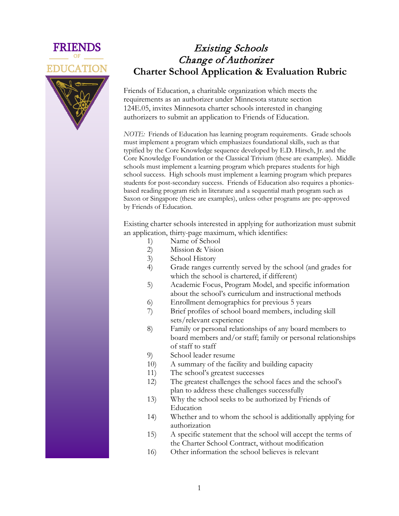



## Existing Schools Change of Authorizer **Charter School Application & Evaluation Rubric**

Friends of Education, a charitable organization which meets the requirements as an authorizer under Minnesota statute section 124E.05, invites Minnesota charter schools interested in changing authorizers to submit an application to Friends of Education.

*NOTE:* Friends of Education has learning program requirements. Grade schools must implement a program which emphasizes foundational skills, such as that typified by the Core Knowledge sequence developed by E.D. Hirsch, Jr. and the Core Knowledge Foundation or the Classical Trivium (these are examples). Middle schools must implement a learning program which prepares students for high school success. High schools must implement a learning program which prepares students for post-secondary success. Friends of Education also requires a phonicsbased reading program rich in literature and a sequential math program such as Saxon or Singapore (these are examples), unless other programs are pre-approved by Friends of Education.

Existing charter schools interested in applying for authorization must submit an application, thirty-page maximum, which identifies:

- 1) Name of School
- 2) Mission & Vision
- 3) School History
- 4) Grade ranges currently served by the school (and grades for which the school is chartered, if different)
- 5) Academic Focus, Program Model, and specific information about the school's curriculum and instructional methods
- 6) Enrollment demographics for previous 5 years
- 7) Brief profiles of school board members, including skill sets/relevant experience
- 8) Family or personal relationships of any board members to board members and/or staff; family or personal relationships of staff to staff
- 9) School leader resume
- 10) A summary of the facility and building capacity
- 11) The school's greatest successes
- 12) The greatest challenges the school faces and the school's plan to address these challenges successfully
- 13) Why the school seeks to be authorized by Friends of Education
- 14) Whether and to whom the school is additionally applying for authorization
- 15) A specific statement that the school will accept the terms of the Charter School Contract, without modification
- 16) Other information the school believes is relevant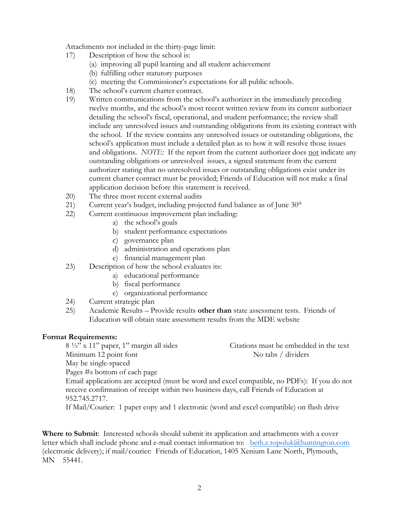Attachments not included in the thirty-page limit:

- 17) Description of how the school is:
	- (a) improving all pupil learning and all student achievement
	- (b) fulfilling other statutory purposes
	- (c) meeting the Commissioner's expectations for all public schools.
- 18) The school's current charter contract.
- 19) Written communications from the school's authorizer in the immediately preceding twelve months, and the school's most recent written review from its current authorizer detailing the school's fiscal, operational, and student performance; the review shall include any unresolved issues and outstanding obligations from its existing contract with the school. If the review contains any unresolved issues or outstanding obligations, the school's application must include a detailed plan as to how it will resolve those issues and obligations. *NOTE:* If the report from the current authorizer does not indicate any outstanding obligations or unresolved issues, a signed statement from the current authorizer stating that no unresolved issues or outstanding obligations exist under its current charter contract must be provided; Friends of Education will not make a final application decision before this statement is received.
- 20) The three most recent external audits
- 21) Current year's budget, including projected fund balance as of June  $30<sup>th</sup>$
- 22) Current continuous improvement plan including:
	- a) the school's goals
	- b) student performance expectations
	- c) governance plan
	- d) administration and operations plan
	- e) financial management plan
- 23) Description of how the school evaluates its:
	- a) educational performance
	- b) fiscal performance
	- c) organizational performance
- 24) Current strategic plan
- 25) Academic Results Provide results **other than** state assessment tests. Friends of Education will obtain state assessment results from the MDE website

#### **Format Requirements:**

 $8\frac{1}{2}$ " x 11" paper, 1" margin all sides Citations must be embedded in the text Minimum 12 point font No tabs / dividers May be single-spaced Pages #s bottom of each page Email applications are accepted (must be word and excel compatible, no PDFs): If you do not receive confirmation of receipt within two business days, call Friends of Education at 952.745.2717. If Mail/Courier: 1 paper copy and 1 electronic (word and excel compatible) on flash drive

**Where to Submit**: Interested schools should submit its application and attachments with a cover letter which shall include phone and e-mail contact information to: beth.e.topoluk@[huntington.com](mailto:topoluk@tcfbank.com) (electronic delivery); if mail/courier: Friends of Education, 1405 Xenium Lane North, Plymouth, MN 55441.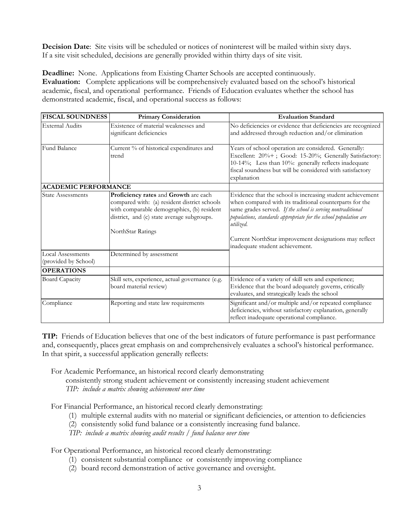**Decision Date**: Site visits will be scheduled or notices of noninterest will be mailed within sixty days. If a site visit scheduled, decisions are generally provided within thirty days of site visit.

**Deadline:** None. Applications from Existing Charter Schools are accepted continuously. **Evaluation:** Complete applications will be comprehensively evaluated based on the school's historical academic, fiscal, and operational performance. Friends of Education evaluates whether the school has demonstrated academic, fiscal, and operational success as follows:

| <b>FISCAL SOUNDNESS</b>                              | <b>Primary Consideration</b>                                                                                                                                                                                                       | <b>Evaluation Standard</b>                                                                                                                                                                                                                                                                                                                                         |  |
|------------------------------------------------------|------------------------------------------------------------------------------------------------------------------------------------------------------------------------------------------------------------------------------------|--------------------------------------------------------------------------------------------------------------------------------------------------------------------------------------------------------------------------------------------------------------------------------------------------------------------------------------------------------------------|--|
| <b>External Audits</b>                               | Existence of material weaknesses and<br>significant deficiencies                                                                                                                                                                   | No deficiencies or evidence that deficiencies are recognized<br>and addressed through reduction and/or elimination                                                                                                                                                                                                                                                 |  |
| Fund Balance                                         | Current % of historical expenditures and<br>trend                                                                                                                                                                                  | Years of school operation are considered. Generally:<br>Excellent: 20%+; Good: 15-20%; Generally Satisfactory:<br>10-14%; Less than 10%: generally reflects inadequate<br>fiscal soundness but will be considered with satisfactory<br>explanation                                                                                                                 |  |
| <b>ACADEMIC PERFORMANCE</b>                          |                                                                                                                                                                                                                                    |                                                                                                                                                                                                                                                                                                                                                                    |  |
| <b>State Assessments</b><br><b>Local Assessments</b> | Proficiency rates and Growth are each<br>compared with: (a) resident district schools<br>with comparable demographics, (b) resident<br>district, and (c) state average subgroups.<br>NorthStar Ratings<br>Determined by assessment | Evidence that the school is increasing student achievement<br>when compared with its traditional counterparts for the<br>same grades served. If the school is serving nontraditional<br>populations, standards appropriate for the school population are<br>utilized.<br>Current NorthStar improvement designations may reflect<br>inadequate student achievement. |  |
| (provided by School)                                 |                                                                                                                                                                                                                                    |                                                                                                                                                                                                                                                                                                                                                                    |  |
| <b>OPERATIONS</b>                                    |                                                                                                                                                                                                                                    |                                                                                                                                                                                                                                                                                                                                                                    |  |
| <b>Board Capacity</b>                                | Skill sets, experience, actual governance (e.g.<br>board material review)                                                                                                                                                          | Evidence of a variety of skill sets and experience;<br>Evidence that the board adequately governs, critically<br>evaluates, and strategically leads the school                                                                                                                                                                                                     |  |
| Compliance                                           | Reporting and state law requirements                                                                                                                                                                                               | Significant and/or multiple and/or repeated compliance<br>deficiencies, without satisfactory explanation, generally<br>reflect inadequate operational compliance.                                                                                                                                                                                                  |  |

**TIP:** Friends of Education believes that one of the best indicators of future performance is past performance and, consequently, places great emphasis on and comprehensively evaluates a school's historical performance. In that spirit, a successful application generally reflects:

For Academic Performance, an historical record clearly demonstrating

consistently strong student achievement or consistently increasing student achievement *TIP: include a matrix showing achievement over time*

For Financial Performance, an historical record clearly demonstrating:

- (1) multiple external audits with no material or significant deficiencies, or attention to deficiencies
- (2) consistently solid fund balance or a consistently increasing fund balance.

*TIP: include a matrix showing audit results / fund balance over time*

For Operational Performance, an historical record clearly demonstrating:

- (1) consistent substantial compliance or consistently improving compliance
- (2) board record demonstration of active governance and oversight.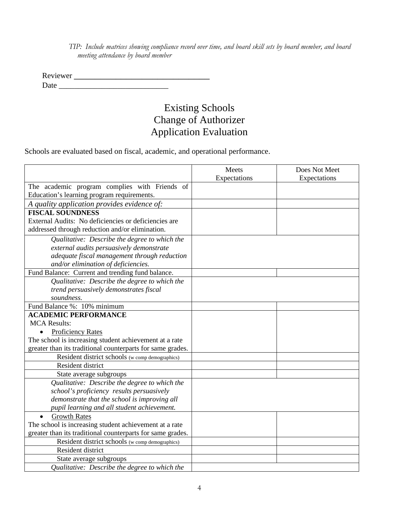*TIP: Include matrices showing compliance record over time, and board skill sets by board member, and board meeting attendance by board member*

Reviewer \_\_\_\_\_\_\_\_\_\_\_\_\_\_\_\_\_\_\_\_\_\_\_\_\_\_ Date \_\_\_\_\_\_\_\_\_\_\_\_\_\_\_\_\_\_\_\_\_\_\_\_\_\_\_\_

# Existing Schools Change of Authorizer Application Evaluation

Schools are evaluated based on fiscal, academic, and operational performance.

|                                                            | Meets        | Does Not Meet |
|------------------------------------------------------------|--------------|---------------|
|                                                            | Expectations | Expectations  |
| The academic program complies with Friends of              |              |               |
| Education's learning program requirements.                 |              |               |
| A quality application provides evidence of:                |              |               |
| <b>FISCAL SOUNDNESS</b>                                    |              |               |
| External Audits: No deficiencies or deficiencies are       |              |               |
| addressed through reduction and/or elimination.            |              |               |
| Qualitative: Describe the degree to which the              |              |               |
| external audits persuasively demonstrate                   |              |               |
| adequate fiscal management through reduction               |              |               |
| and/or elimination of deficiencies.                        |              |               |
| Fund Balance: Current and trending fund balance.           |              |               |
| Qualitative: Describe the degree to which the              |              |               |
| trend persuasively demonstrates fiscal                     |              |               |
| soundness.                                                 |              |               |
| Fund Balance %: 10% minimum                                |              |               |
| <b>ACADEMIC PERFORMANCE</b>                                |              |               |
| <b>MCA Results:</b>                                        |              |               |
| <b>Proficiency Rates</b>                                   |              |               |
| The school is increasing student achievement at a rate     |              |               |
| greater than its traditional counterparts for same grades. |              |               |
| Resident district schools (w comp demographics)            |              |               |
| Resident district                                          |              |               |
| State average subgroups                                    |              |               |
| Qualitative: Describe the degree to which the              |              |               |
| school's proficiency results persuasively                  |              |               |
| demonstrate that the school is improving all               |              |               |
| pupil learning and all student achievement.                |              |               |
| <b>Growth Rates</b><br>$\bullet$                           |              |               |
| The school is increasing student achievement at a rate     |              |               |
| greater than its traditional counterparts for same grades. |              |               |
| Resident district schools (w comp demographics)            |              |               |
| Resident district                                          |              |               |
| State average subgroups                                    |              |               |
| Qualitative: Describe the degree to which the              |              |               |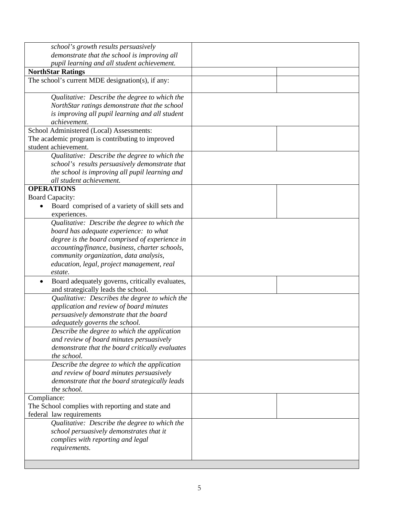| school's growth results persuasively<br>demonstrate that the school is improving all                                                                              |  |
|-------------------------------------------------------------------------------------------------------------------------------------------------------------------|--|
| pupil learning and all student achievement.                                                                                                                       |  |
| <b>NorthStar Ratings</b>                                                                                                                                          |  |
| The school's current MDE designation(s), if any:                                                                                                                  |  |
| Qualitative: Describe the degree to which the<br>NorthStar ratings demonstrate that the school<br>is improving all pupil learning and all student<br>achievement. |  |
| School Administered (Local) Assessments:                                                                                                                          |  |
| The academic program is contributing to improved<br>student achievement.                                                                                          |  |
| Qualitative: Describe the degree to which the                                                                                                                     |  |
| school's results persuasively demonstrate that                                                                                                                    |  |
| the school is improving all pupil learning and                                                                                                                    |  |
| all student achievement.                                                                                                                                          |  |
| <b>OPERATIONS</b>                                                                                                                                                 |  |
| <b>Board Capacity:</b>                                                                                                                                            |  |
| Board comprised of a variety of skill sets and                                                                                                                    |  |
| experiences.                                                                                                                                                      |  |
| Qualitative: Describe the degree to which the                                                                                                                     |  |
| board has adequate experience: to what                                                                                                                            |  |
| degree is the board comprised of experience in                                                                                                                    |  |
| accounting/finance, business, charter schools,                                                                                                                    |  |
| community organization, data analysis,                                                                                                                            |  |
| education, legal, project management, real                                                                                                                        |  |
| estate.                                                                                                                                                           |  |
| Board adequately governs, critically evaluates,<br>and strategically leads the school.                                                                            |  |
| Qualitative: Describes the degree to which the                                                                                                                    |  |
| application and review of board minutes                                                                                                                           |  |
| persuasively demonstrate that the board                                                                                                                           |  |
| adequately governs the school.                                                                                                                                    |  |
| Describe the degree to which the application                                                                                                                      |  |
| and review of board minutes persuasively                                                                                                                          |  |
| demonstrate that the board critically evaluates<br>the school.                                                                                                    |  |
|                                                                                                                                                                   |  |
| Describe the degree to which the application                                                                                                                      |  |
| and review of board minutes persuasively<br>demonstrate that the board strategically leads                                                                        |  |
| the school.                                                                                                                                                       |  |
| Compliance:                                                                                                                                                       |  |
| The School complies with reporting and state and                                                                                                                  |  |
| federal law requirements                                                                                                                                          |  |
| Qualitative: Describe the degree to which the                                                                                                                     |  |
| school persuasively demonstrates that it                                                                                                                          |  |
| complies with reporting and legal                                                                                                                                 |  |
| requirements.                                                                                                                                                     |  |
|                                                                                                                                                                   |  |